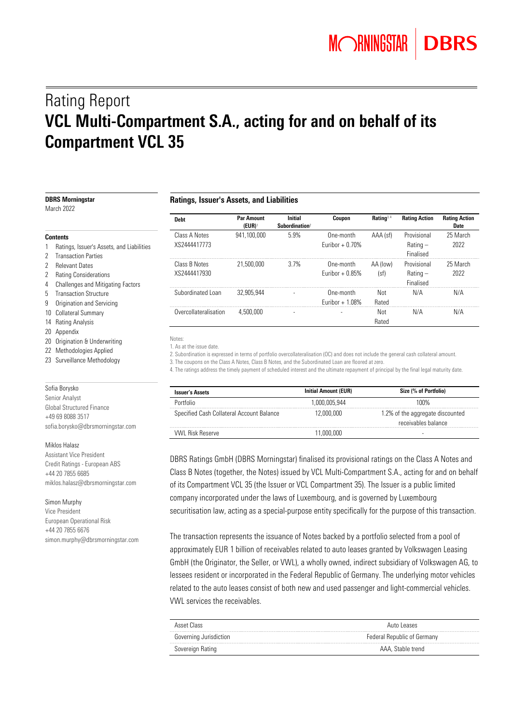# Rating Report VCL Multi-Compartment S.A., acting for and on behalf of its Compartment VCL 35

| <b>DBRS Morningstar</b><br>March 2022                                              | <b>Ratings, Issuer's Assets, and Liabilities</b> |                                        |                                              |                               |                  |                                        |                              |
|------------------------------------------------------------------------------------|--------------------------------------------------|----------------------------------------|----------------------------------------------|-------------------------------|------------------|----------------------------------------|------------------------------|
|                                                                                    | <b>Debt</b>                                      | <b>Par Amount</b><br>$(EUR)^{\dagger}$ | <b>Initial</b><br>Subordination <sup>2</sup> | Coupon                        | Rating $3.4$     | <b>Rating Action</b>                   | <b>Rating Action</b><br>Date |
| <b>Contents</b>                                                                    | Class A Notes                                    | 941,100,000                            | 5.9%                                         | One-month                     | AAA (sf)         | Provisional                            | 25 March                     |
| Ratings, Issuer's Assets, and Liabilities<br>2 Transaction Parties                 | XS2444417773                                     |                                        |                                              | Euribor $+0.70%$              |                  | $Rating -$<br>Finalised                | 2022                         |
| 2 Relevant Dates<br>2 Rating Considerations<br>4 Challenges and Mitigating Factors | Class B Notes<br>XS2444417930                    | 21,500,000                             | 3.7%                                         | One-month<br>Euribor $+0.85%$ | AA (low)<br>(sf) | Provisional<br>$Rating -$<br>Finalised | 25 March<br>2022             |
| 5 Transaction Structure<br>9 Origination and Servicing                             | Subordinated Loan                                | 32,905,944                             |                                              | One-month<br>Euribor $+1.08%$ | Not<br>Rated     | N/A                                    | N/A                          |
| 10 Collateral Summary<br>14 Rating Analysis                                        | Overcollateralisation                            | 4.500.000                              |                                              |                               | Not<br>Rated     | N/A                                    | N/A                          |
| 20 Appendix                                                                        | Notes:                                           |                                        |                                              |                               |                  |                                        |                              |

|  |  | 1. As at the issue date |  |
|--|--|-------------------------|--|

2. Subordination is expressed in terms of portfolio overcollateralisation (OC) and does not include the general cash collateral amount.

3. The coupons on the Class A Notes, Class B Notes, and the Subordinated Loan are floored at zero.

4. The ratings address the timely payment of scheduled interest and the ultimate repayment of principal by the final legal maturity date.

| <b>Issuer's Assets</b>                    | <b>Initial Amount (EUR)</b> | Size (% of Portfolio)                                   |
|-------------------------------------------|-----------------------------|---------------------------------------------------------|
| Portfolio                                 | -000 005 944                | 1በበ%                                                    |
| Specified Cash Collateral Account Balance | 12.000.000                  | 1.2% of the aggregate discounted<br>receivables balance |
| VWI Risk Reserve                          | 1.000.000                   | ۰                                                       |

DBRS Ratings GmbH (DBRS Morningstar) finalised its provisional ratings on the Class A Notes and Class B Notes (together, the Notes) issued by VCL Multi-Compartment S.A., acting for and on behalf of its Compartment VCL 35 (the Issuer or VCL Compartment 35). The Issuer is a public limited company incorporated under the laws of Luxembourg, and is governed by Luxembourg securitisation law, acting as a special-purpose entity specifically for the purpose of this transaction.

The transaction represents the issuance of Notes backed by a portfolio selected from a pool of approximately EUR 1 billion of receivables related to auto leases granted by Volkswagen Leasing GmbH (the Originator, the Seller, or VWL), a wholly owned, indirect subsidiary of Volkswagen AG, to lessees resident or incorporated in the Federal Republic of Germany. The underlying motor vehicles related to the auto leases consist of both new and used passenger and light-commercial vehicles. VWL services the receivables.

| Asset Class            | Auto Leases                 |  |
|------------------------|-----------------------------|--|
| Governing Jurisdiction | Federal Republic of Germany |  |
| Sovereign Rating       | AAA, Stable trend           |  |

- 
- 2 Transaction Parties
- 2 Relevant Dates
- 2 Rating Considerations
- 4 Challenges and Mitigating Factors
- 
- 
- 10
- 14
- $20$
- 20 Origination & Underwriting
- 22 Methodologies Applied
- 23 Surveillance Methodology

Sofia Borysko Senior Analyst Global Structured Finance +49 69 8088 3517 sofia.borysko@dbrsmorningstar.com

#### Miklos Halasz

Assistant Vice President Credit Ratings - European ABS +44 20 7855 6685 miklos.halasz@dbrsmorningstar.com

Simon Murphy

Vice President European Operational Risk +44 20 7855 6676 simon.murphy@dbrsmorningstar.com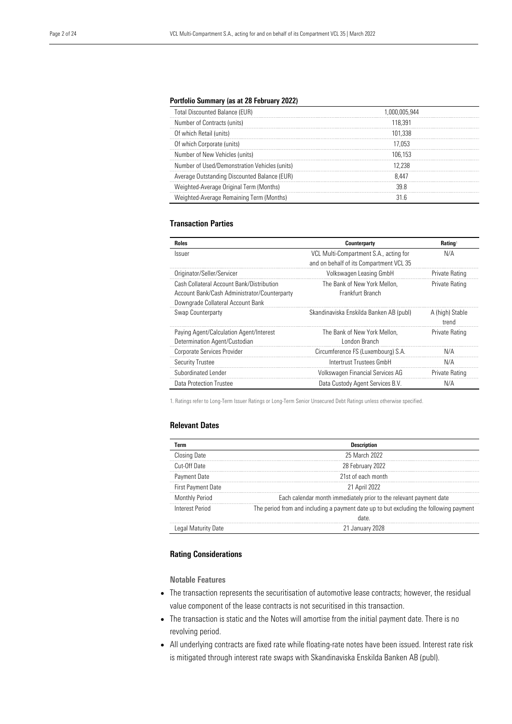#### Portfolio Summary (as at 28 February 2022)

| <b>Total Discounted Balance (EUR)</b>         | 1.000.005.944 |
|-----------------------------------------------|---------------|
| Number of Contracts (units)                   | 118 391       |
| Of which Retail (units)                       | 101.338       |
| Of which Corporate (units)                    | 17 053        |
| Number of New Vehicles (units)                | 106 153       |
| Number of Used/Demonstration Vehicles (units) | 2 238         |
| Average Outstanding Discounted Balance (EUR)  | 8 447         |
| Weighted-Average Original Term (Months)       | u y           |
| Weighted-Average Remaining Term (Months)      |               |

#### Transaction Parties

| <b>Roles</b>                                 | Counterparty                            | Rating <sup>1</sup> |
|----------------------------------------------|-----------------------------------------|---------------------|
| Issuer                                       | VCL Multi-Compartment S.A., acting for  | N/A                 |
|                                              | and on behalf of its Compartment VCL 35 |                     |
| Originator/Seller/Servicer                   | Volkswagen Leasing GmbH                 | Private Rating      |
| Cash Collateral Account Bank/Distribution    | The Bank of New York Mellon.            | Private Rating      |
| Account Bank/Cash Administrator/Counterparty | Frankfurt Branch                        |                     |
| Downgrade Collateral Account Bank            |                                         |                     |
| Swap Counterparty                            | Skandinaviska Enskilda Banken AB (publ) | A (high) Stable     |
|                                              |                                         | trend               |
| Paying Agent/Calculation Agent/Interest      | The Bank of New York Mellon.            | Private Rating      |
| Determination Agent/Custodian                | I ondon Branch                          |                     |
| Corporate Services Provider                  | Circumference FS (Luxembourg) S.A.      | N/A                 |
| <b>Security Trustee</b>                      | Intertrust Trustees GmbH                | N/A                 |
| Subordinated Lender                          | Volkswagen Financial Services AG        | Private Rating      |
| Data Protection Trustee                      | Data Custody Agent Services B.V.        | N/A                 |

1. Ratings refer to Long-Term Issuer Ratings or Long-Term Senior Unsecured Debt Ratings unless otherwise specified.

#### Relevant Dates

| Term                      | <b>Description</b>                                                                             |
|---------------------------|------------------------------------------------------------------------------------------------|
| Closing Date              | 25 March 2022                                                                                  |
| Cut-Off Date              | 28 February 2022                                                                               |
| Payment Date              | 21st of each month                                                                             |
| <b>First Payment Date</b> | 21 April 2022                                                                                  |
| Monthly Period            | Each calendar month immediately prior to the relevant payment date                             |
| Interest Period           | The period from and including a payment date up to but excluding the following payment<br>atah |
| Legal Maturity Date       | 21 January 2028                                                                                |

#### Rating Considerations

Notable Features

- The transaction represents the securitisation of automotive lease contracts; however, the residual value component of the lease contracts is not securitised in this transaction.
- The transaction is static and the Notes will amortise from the initial payment date. There is no revolving period.
- All underlying contracts are fixed rate while floating-rate notes have been issued. Interest rate risk is mitigated through interest rate swaps with Skandinaviska Enskilda Banken AB (publ).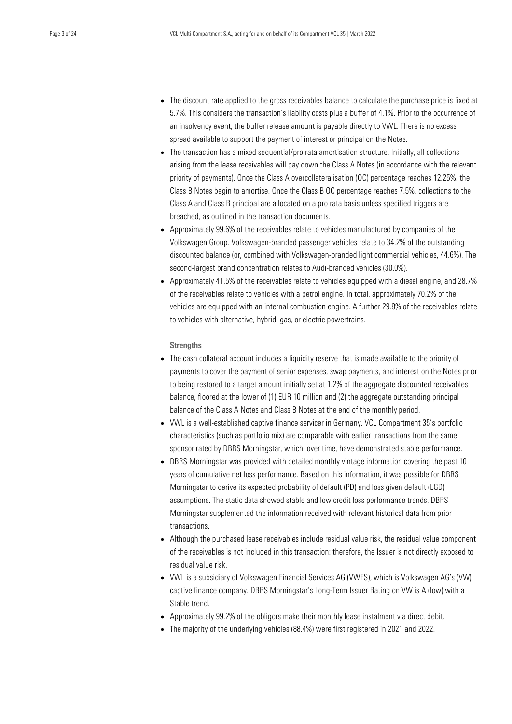- The discount rate applied to the gross receivables balance to calculate the purchase price is fixed at 5.7%. This considers the transaction's liability costs plus a buffer of 4.1%. Prior to the occurrence of an insolvency event, the buffer release amount is payable directly to VWL. There is no excess spread available to support the payment of interest or principal on the Notes.
- The transaction has a mixed sequential/pro rata amortisation structure. Initially, all collections arising from the lease receivables will pay down the Class A Notes (in accordance with the relevant priority of payments). Once the Class A overcollateralisation (OC) percentage reaches 12.25%, the Class B Notes begin to amortise. Once the Class B OC percentage reaches 7.5%, collections to the Class A and Class B principal are allocated on a pro rata basis unless specified triggers are breached, as outlined in the transaction documents.
- Approximately 99.6% of the receivables relate to vehicles manufactured by companies of the Volkswagen Group. Volkswagen-branded passenger vehicles relate to 34.2% of the outstanding discounted balance (or, combined with Volkswagen-branded light commercial vehicles, 44.6%). The second-largest brand concentration relates to Audi-branded vehicles (30.0%).
- Approximately 41.5% of the receivables relate to vehicles equipped with a diesel engine, and 28.7% of the receivables relate to vehicles with a petrol engine. In total, approximately 70.2% of the vehicles are equipped with an internal combustion engine. A further 29.8% of the receivables relate to vehicles with alternative, hybrid, gas, or electric powertrains.

#### **Strengths**

- The cash collateral account includes a liquidity reserve that is made available to the priority of payments to cover the payment of senior expenses, swap payments, and interest on the Notes prior to being restored to a target amount initially set at 1.2% of the aggregate discounted receivables balance, floored at the lower of (1) EUR 10 million and (2) the aggregate outstanding principal balance of the Class A Notes and Class B Notes at the end of the monthly period.
- VWL is a well-established captive finance servicer in Germany. VCL Compartment 35's portfolio characteristics (such as portfolio mix) are comparable with earlier transactions from the same sponsor rated by DBRS Morningstar, which, over time, have demonstrated stable performance.
- DBRS Morningstar was provided with detailed monthly vintage information covering the past 10 years of cumulative net loss performance. Based on this information, it was possible for DBRS Morningstar to derive its expected probability of default (PD) and loss given default (LGD) assumptions. The static data showed stable and low credit loss performance trends. DBRS Morningstar supplemented the information received with relevant historical data from prior transactions.
- Although the purchased lease receivables include residual value risk, the residual value component of the receivables is not included in this transaction: therefore, the Issuer is not directly exposed to residual value risk.
- VWL is a subsidiary of Volkswagen Financial Services AG (VWFS), which is Volkswagen AG's (VW) captive finance company. DBRS Morningstar's Long-Term Issuer Rating on VW is A (low) with a Stable trend.
- Approximately 99.2% of the obligors make their monthly lease instalment via direct debit.
- The majority of the underlying vehicles (88.4%) were first registered in 2021 and 2022.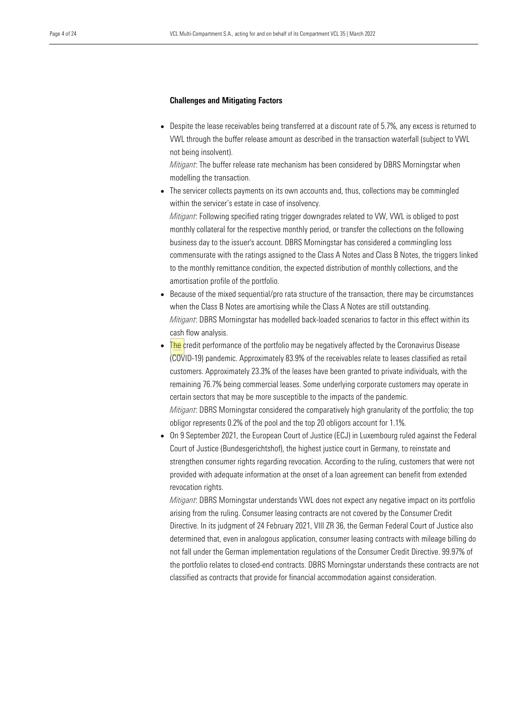#### Challenges and Mitigating Factors

• Despite the lease receivables being transferred at a discount rate of 5.7%, any excess is returned to VWL through the buffer release amount as described in the transaction waterfall (subject to VWL not being insolvent).

*Mitigant*: The buffer release rate mechanism has been considered by DBRS Morningstar when modelling the transaction.

The servicer collects payments on its own accounts and, thus, collections may be commingled within the servicer's estate in case of insolvency.

*Mitigant*: Following specified rating trigger downgrades related to VW, VWL is obliged to post monthly collateral for the respective monthly period, or transfer the collections on the following business day to the issuer's account. DBRS Morningstar has considered a commingling loss commensurate with the ratings assigned to the Class A Notes and Class B Notes, the triggers linked to the monthly remittance condition, the expected distribution of monthly collections, and the amortisation profile of the portfolio.

- Because of the mixed sequential/pro rata structure of the transaction, there may be circumstances when the Class B Notes are amortising while the Class A Notes are still outstanding. *Mitigant*: DBRS Morningstar has modelled back-loaded scenarios to factor in this effect within its cash flow analysis.
- **The credit performance of the portfolio may be negatively affected by the Coronavirus Disease** (COVID-19) pandemic. Approximately 83.9% of the receivables relate to leases classified as retail customers. Approximately 23.3% of the leases have been granted to private individuals, with the remaining 76.7% being commercial leases. Some underlying corporate customers may operate in certain sectors that may be more susceptible to the impacts of the pandemic. *Mitigant*: DBRS Morningstar considered the comparatively high granularity of the portfolio; the top obligor represents 0.2% of the pool and the top 20 obligors account for 1.1%.
- On 9 September 2021, the European Court of Justice (ECJ) in Luxembourg ruled against the Federal Court of Justice (Bundesgerichtshof), the highest justice court in Germany, to reinstate and strengthen consumer rights regarding revocation. According to the ruling, customers that were not provided with adequate information at the onset of a loan agreement can benefit from extended revocation rights.

*Mitigant*: DBRS Morningstar understands VWL does not expect any negative impact on its portfolio arising from the ruling. Consumer leasing contracts are not covered by the Consumer Credit Directive. In its judgment of 24 February 2021, VIII ZR 36, the German Federal Court of Justice also determined that, even in analogous application, consumer leasing contracts with mileage billing do not fall under the German implementation regulations of the Consumer Credit Directive. 99.97% of the portfolio relates to closed-end contracts. DBRS Morningstar understands these contracts are not classified as contracts that provide for financial accommodation against consideration.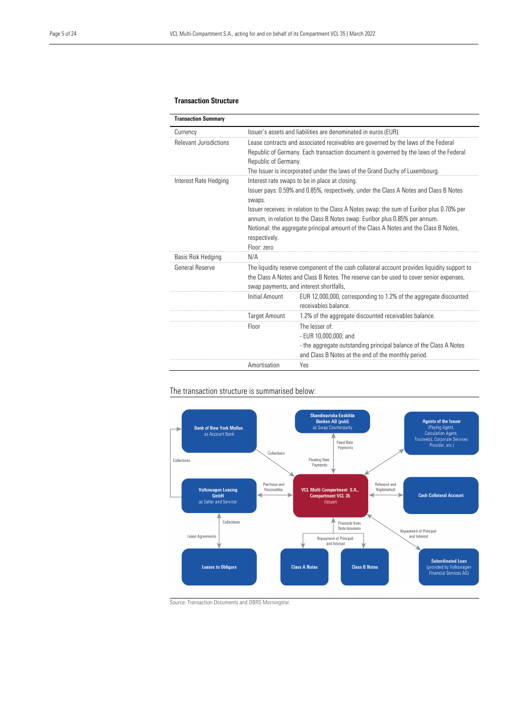#### Transaction Structure

| <b>Transaction Summary</b>    |                              |                                                                                                                                                                                                                                                            |
|-------------------------------|------------------------------|------------------------------------------------------------------------------------------------------------------------------------------------------------------------------------------------------------------------------------------------------------|
| Currency                      |                              | Issuer's assets and liabilities are denominated in euros (EUR).                                                                                                                                                                                            |
| <b>Relevant Jurisdictions</b> | Republic of Germany.         | Lease contracts and associated receivables are governed by the laws of the Federal<br>Republic of Germany. Each transaction document is governed by the laws of the Federal<br>The Issuer is incorporated under the laws of the Grand Duchy of Luxembourg. |
| Interest Rate Hedging         | swaps.                       | Interest rate swaps to be in place at closing.<br>Issuer pays: 0.59% and 0.85%, respectively, under the Class A Notes and Class B Notes<br>Issuer receives: in relation to the Class A Notes swap: the sum of Euribor plus 0.70% per                       |
|                               | respectively.<br>Floor: zero | annum, in relation to the Class B Notes swap: Euribor plus 0.85% per annum.<br>Notional: the aggregate principal amount of the Class A Notes and the Class B Notes,                                                                                        |
| Basis Risk Hedging            | N/A                          |                                                                                                                                                                                                                                                            |
| General Reserve               |                              | The liquidity reserve component of the cash collateral account provides liquidity support to<br>the Class A Notes and Class B Notes. The reserve can be used to cover senior expenses,<br>swap payments, and interest shortfalls,                          |
|                               | <b>Initial Amount</b>        | EUR 12,000,000, corresponding to 1.2% of the aggregate discounted<br>receivables balance.                                                                                                                                                                  |
|                               | <b>Target Amount</b>         | 1.2% of the aggregate discounted receivables balance.                                                                                                                                                                                                      |
|                               | Floor                        | The lesser of:<br>- EUR 10,000,000; and<br>- the aggregate outstanding principal balance of the Class A Notes<br>and Class B Notes at the end of the monthly period.                                                                                       |
|                               | Amortisation                 | Yes                                                                                                                                                                                                                                                        |

#### The transaction structure is summarised below:



Source: Transaction Documents and DBRS Morningstar.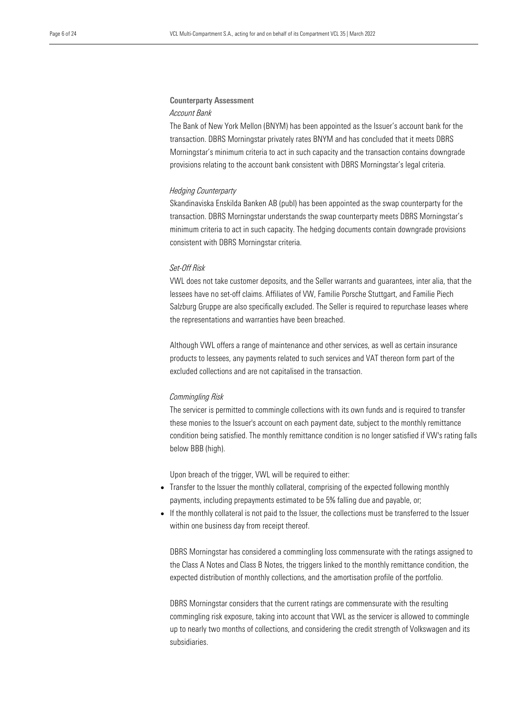### Counterparty Assessment

#### *Account Bank*

The Bank of New York Mellon (BNYM) has been appointed as the Issuer's account bank for the transaction. DBRS Morningstar privately rates BNYM and has concluded that it meets DBRS Morningstar's minimum criteria to act in such capacity and the transaction contains downgrade provisions relating to the account bank consistent with DBRS Morningstar's legal criteria.

#### *Hedging Counterparty*

Skandinaviska Enskilda Banken AB (publ) has been appointed as the swap counterparty for the transaction. DBRS Morningstar understands the swap counterparty meets DBRS Morningstar's minimum criteria to act in such capacity. The hedging documents contain downgrade provisions consistent with DBRS Morningstar criteria.

#### *Set-Off Risk*

VWL does not take customer deposits, and the Seller warrants and guarantees, inter alia, that the lessees have no set-off claims. Affiliates of VW, Familie Porsche Stuttgart, and Familie Piech Salzburg Gruppe are also specifically excluded. The Seller is required to repurchase leases where the representations and warranties have been breached.

Although VWL offers a range of maintenance and other services, as well as certain insurance products to lessees, any payments related to such services and VAT thereon form part of the excluded collections and are not capitalised in the transaction.

#### *Commingling Risk*

The servicer is permitted to commingle collections with its own funds and is required to transfer these monies to the Issuer's account on each payment date, subject to the monthly remittance condition being satisfied. The monthly remittance condition is no longer satisfied if VW's rating falls below BBB (high).

Upon breach of the trigger, VWL will be required to either:

- Transfer to the Issuer the monthly collateral, comprising of the expected following monthly payments, including prepayments estimated to be 5% falling due and payable, or;
- If the monthly collateral is not paid to the Issuer, the collections must be transferred to the Issuer within one business day from receipt thereof.

DBRS Morningstar has considered a commingling loss commensurate with the ratings assigned to the Class A Notes and Class B Notes, the triggers linked to the monthly remittance condition, the expected distribution of monthly collections, and the amortisation profile of the portfolio.

DBRS Morningstar considers that the current ratings are commensurate with the resulting commingling risk exposure, taking into account that VWL as the servicer is allowed to commingle up to nearly two months of collections, and considering the credit strength of Volkswagen and its subsidiaries.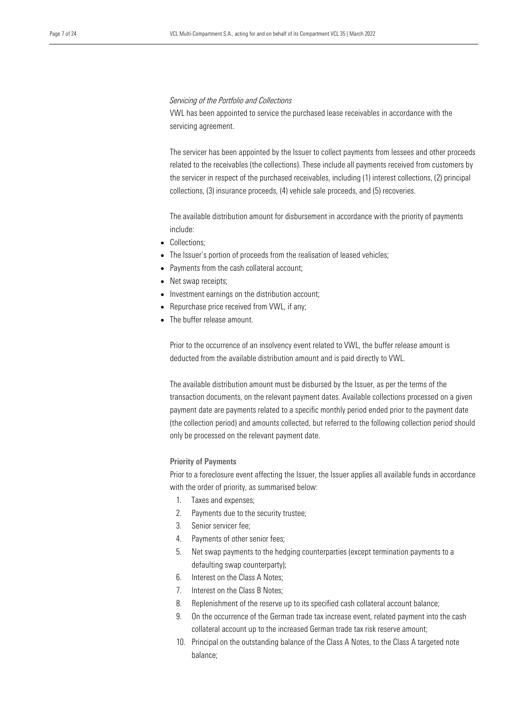#### *Servicing of the Portfolio and Collections*

VWL has been appointed to service the purchased lease receivables in accordance with the servicing agreement.

The servicer has been appointed by the Issuer to collect payments from lessees and other proceeds related to the receivables (the collections). These include all payments received from customers by the servicer in respect of the purchased receivables, including (1) interest collections, (2) principal collections, (3) insurance proceeds, (4) vehicle sale proceeds, and (5) recoveries.

The available distribution amount for disbursement in accordance with the priority of payments include:

- Collections;
- The Issuer's portion of proceeds from the realisation of leased vehicles;
- Payments from the cash collateral account;
- Net swap receipts;
- Investment earnings on the distribution account;
- Repurchase price received from VWL, if any;
- The buffer release amount.

Prior to the occurrence of an insolvency event related to VWL, the buffer release amount is deducted from the available distribution amount and is paid directly to VWL.

The available distribution amount must be disbursed by the Issuer, as per the terms of the transaction documents, on the relevant payment dates. Available collections processed on a given payment date are payments related to a specific monthly period ended prior to the payment date (the collection period) and amounts collected, but referred to the following collection period should only be processed on the relevant payment date.

#### Priority of Payments

Prior to a foreclosure event affecting the Issuer, the Issuer applies all available funds in accordance with the order of priority, as summarised below:

- 1. Taxes and expenses;
- 2. Payments due to the security trustee;
- 3. Senior servicer fee;
- 4. Payments of other senior fees;
- 5. Net swap payments to the hedging counterparties (except termination payments to a defaulting swap counterparty);
- 6. Interest on the Class A Notes;
- 7. Interest on the Class B Notes;
- 8. Replenishment of the reserve up to its specified cash collateral account balance;
- 9. On the occurrence of the German trade tax increase event, related payment into the cash collateral account up to the increased German trade tax risk reserve amount;
- 10. Principal on the outstanding balance of the Class A Notes, to the Class A targeted note balance;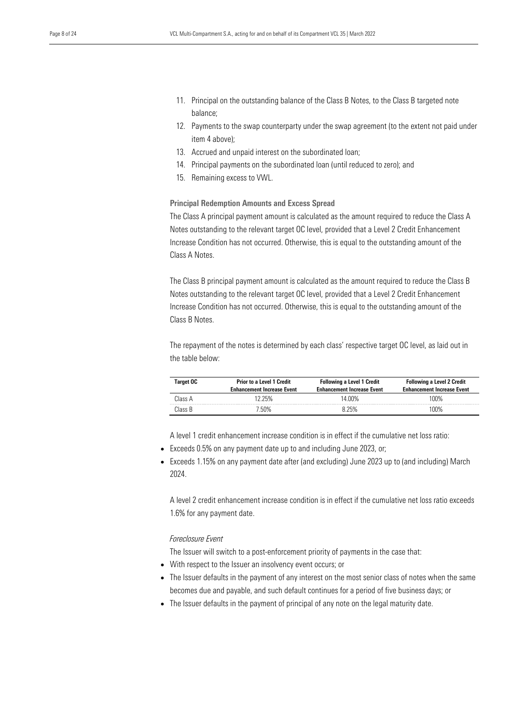- 11. Principal on the outstanding balance of the Class B Notes, to the Class B targeted note balance;
- 12. Payments to the swap counterparty under the swap agreement (to the extent not paid under item 4 above);
- 13. Accrued and unpaid interest on the subordinated loan;
- 14. Principal payments on the subordinated loan (until reduced to zero); and
- 15. Remaining excess to VWL.

#### Principal Redemption Amounts and Excess Spread

The Class A principal payment amount is calculated as the amount required to reduce the Class A Notes outstanding to the relevant target OC level, provided that a Level 2 Credit Enhancement Increase Condition has not occurred. Otherwise, this is equal to the outstanding amount of the Class A Notes.

The Class B principal payment amount is calculated as the amount required to reduce the Class B Notes outstanding to the relevant target OC level, provided that a Level 2 Credit Enhancement Increase Condition has not occurred. Otherwise, this is equal to the outstanding amount of the Class B Notes.

The repayment of the notes is determined by each class' respective target OC level, as laid out in the table below:

| <b>Target OC</b> | <b>Prior to a Level 1 Credit</b><br><b>Enhancement Increase Event</b> | <b>Following a Level 1 Credit</b><br><b>Enhancement Increase Event</b> | <b>Following a Level 2 Credit</b><br><b>Enhancement Increase Event</b> |
|------------------|-----------------------------------------------------------------------|------------------------------------------------------------------------|------------------------------------------------------------------------|
| Class A          | '2 25%                                                                | 14 በበ%                                                                 | 1በበ%                                                                   |
| Class B          | 7 5በ%                                                                 | ጸ 25%                                                                  | 1በበ%                                                                   |

A level 1 credit enhancement increase condition is in effect if the cumulative net loss ratio:

- Exceeds 0.5% on any payment date up to and including June 2023, or;
- Exceeds 1.15% on any payment date after (and excluding) June 2023 up to (and including) March 2024.

A level 2 credit enhancement increase condition is in effect if the cumulative net loss ratio exceeds 1.6% for any payment date.

#### *Foreclosure Event*

The Issuer will switch to a post-enforcement priority of payments in the case that:

- With respect to the Issuer an insolvency event occurs; or
- The Issuer defaults in the payment of any interest on the most senior class of notes when the same becomes due and payable, and such default continues for a period of five business days; or
- The Issuer defaults in the payment of principal of any note on the legal maturity date.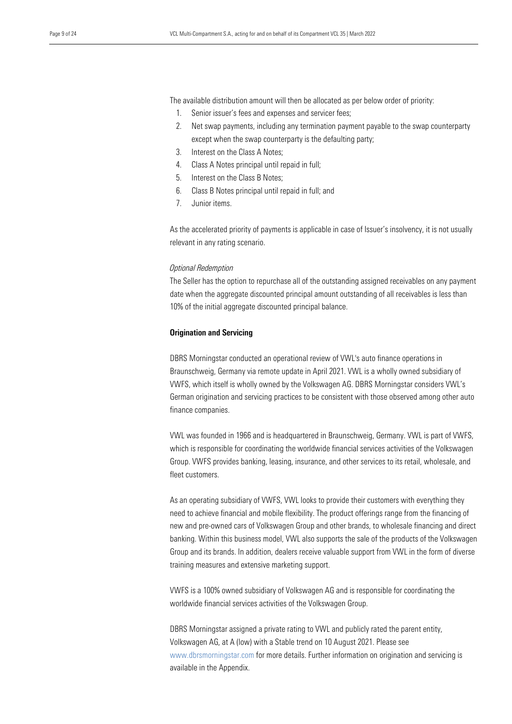The available distribution amount will then be allocated as per below order of priority:

- 1. Senior issuer's fees and expenses and servicer fees;
- 2. Net swap payments, including any termination payment payable to the swap counterparty except when the swap counterparty is the defaulting party;
- 3. Interest on the Class A Notes;
- 4. Class A Notes principal until repaid in full;
- 5. Interest on the Class B Notes;
- 6. Class B Notes principal until repaid in full; and
- 7. Junior items.

As the accelerated priority of payments is applicable in case of Issuer's insolvency, it is not usually relevant in any rating scenario.

#### *Optional Redemption*

The Seller has the option to repurchase all of the outstanding assigned receivables on any payment date when the aggregate discounted principal amount outstanding of all receivables is less than 10% of the initial aggregate discounted principal balance.

#### Origination and Servicing

DBRS Morningstar conducted an operational review of VWL's auto finance operations in Braunschweig, Germany via remote update in April 2021. VWL is a wholly owned subsidiary of VWFS, which itself is wholly owned by the Volkswagen AG. DBRS Morningstar considers VWL's German origination and servicing practices to be consistent with those observed among other auto finance companies.

VWL was founded in 1966 and is headquartered in Braunschweig, Germany. VWL is part of VWFS, which is responsible for coordinating the worldwide financial services activities of the Volkswagen Group. VWFS provides banking, leasing, insurance, and other services to its retail, wholesale, and fleet customers.

As an operating subsidiary of VWFS, VWL looks to provide their customers with everything they need to achieve financial and mobile flexibility. The product offerings range from the financing of new and pre-owned cars of Volkswagen Group and other brands, to wholesale financing and direct banking. Within this business model, VWL also supports the sale of the products of the Volkswagen Group and its brands. In addition, dealers receive valuable support from VWL in the form of diverse training measures and extensive marketing support.

VWFS is a 100% owned subsidiary of Volkswagen AG and is responsible for coordinating the worldwide financial services activities of the Volkswagen Group.

DBRS Morningstar assigned a private rating to VWL and publicly rated the parent entity, Volkswagen AG, at A (low) with a Stable trend on 10 August 2021. Please see www.dbrsmorningstar.com for more details. Further information on origination and servicing is available in the Appendix.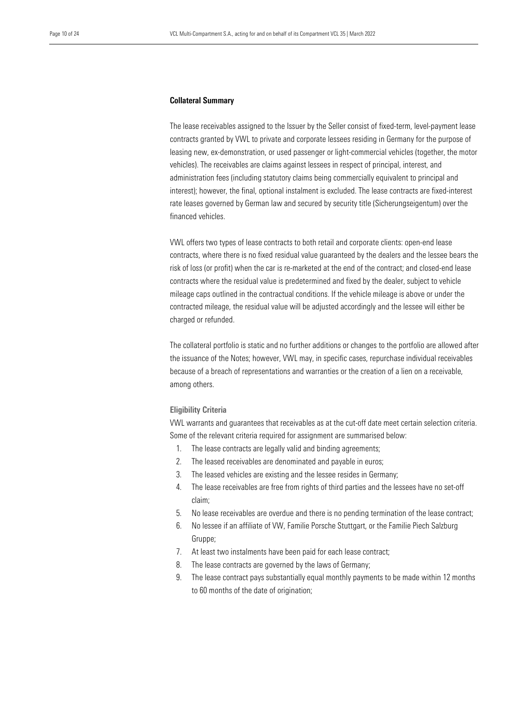#### Collateral Summary

The lease receivables assigned to the Issuer by the Seller consist of fixed-term, level-payment lease contracts granted by VWL to private and corporate lessees residing in Germany for the purpose of leasing new, ex-demonstration, or used passenger or light-commercial vehicles (together, the motor vehicles). The receivables are claims against lessees in respect of principal, interest, and administration fees (including statutory claims being commercially equivalent to principal and interest); however, the final, optional instalment is excluded. The lease contracts are fixed-interest rate leases governed by German law and secured by security title (Sicherungseigentum) over the financed vehicles.

VWL offers two types of lease contracts to both retail and corporate clients: open-end lease contracts, where there is no fixed residual value guaranteed by the dealers and the lessee bears the risk of loss (or profit) when the car is re-marketed at the end of the contract; and closed-end lease contracts where the residual value is predetermined and fixed by the dealer, subject to vehicle mileage caps outlined in the contractual conditions. If the vehicle mileage is above or under the contracted mileage, the residual value will be adjusted accordingly and the lessee will either be charged or refunded.

The collateral portfolio is static and no further additions or changes to the portfolio are allowed after the issuance of the Notes; however, VWL may, in specific cases, repurchase individual receivables because of a breach of representations and warranties or the creation of a lien on a receivable, among others.

#### Eligibility Criteria

VWL warrants and guarantees that receivables as at the cut-off date meet certain selection criteria. Some of the relevant criteria required for assignment are summarised below:

- 1. The lease contracts are legally valid and binding agreements;
- 2. The leased receivables are denominated and payable in euros;
- 3. The leased vehicles are existing and the lessee resides in Germany;
- 4. The lease receivables are free from rights of third parties and the lessees have no set-off claim;
- 5. No lease receivables are overdue and there is no pending termination of the lease contract;
- 6. No lessee if an affiliate of VW, Familie Porsche Stuttgart, or the Familie Piech Salzburg Gruppe;
- 7. At least two instalments have been paid for each lease contract;
- 8. The lease contracts are governed by the laws of Germany;
- 9. The lease contract pays substantially equal monthly payments to be made within 12 months to 60 months of the date of origination;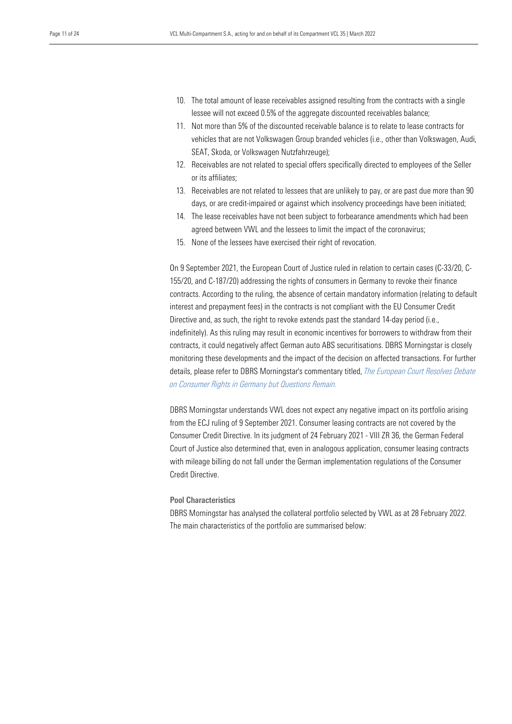- 10. The total amount of lease receivables assigned resulting from the contracts with a single lessee will not exceed 0.5% of the aggregate discounted receivables balance;
- 11. Not more than 5% of the discounted receivable balance is to relate to lease contracts for vehicles that are not Volkswagen Group branded vehicles (i.e., other than Volkswagen, Audi, SEAT, Skoda, or Volkswagen Nutzfahrzeuge);
- 12. Receivables are not related to special offers specifically directed to employees of the Seller or its affiliates;
- 13. Receivables are not related to lessees that are unlikely to pay, or are past due more than 90 days, or are credit-impaired or against which insolvency proceedings have been initiated;
- 14. The lease receivables have not been subject to forbearance amendments which had been agreed between VWL and the lessees to limit the impact of the coronavirus;
- 15. None of the lessees have exercised their right of revocation.

On 9 September 2021, the European Court of Justice ruled in relation to certain cases (C-33/20, C-155/20, and C-187/20) addressing the rights of consumers in Germany to revoke their finance contracts. According to the ruling, the absence of certain mandatory information (relating to default interest and prepayment fees) in the contracts is not compliant with the EU Consumer Credit Directive and, as such, the right to revoke extends past the standard 14-day period (i.e., indefinitely). As this ruling may result in economic incentives for borrowers to withdraw from their contracts, it could negatively affect German auto ABS securitisations. DBRS Morningstar is closely monitoring these developments and the impact of the decision on affected transactions. For further details, please refer to DBRS Morningstar's commentary titled, *[The European Court Resolves Debate](https://www.dbrsmorningstar.com/research/384995/the-european-court-resolves-debate-on-consumer-rights-in-germany-but-questions-remain)  [on Consumer Rights in Germany but Questions Remain.](https://www.dbrsmorningstar.com/research/384995/the-european-court-resolves-debate-on-consumer-rights-in-germany-but-questions-remain)*

DBRS Morningstar understands VWL does not expect any negative impact on its portfolio arising from the ECJ ruling of 9 September 2021. Consumer leasing contracts are not covered by the Consumer Credit Directive. In its judgment of 24 February 2021 - VIII ZR 36, the German Federal Court of Justice also determined that, even in analogous application, consumer leasing contracts with mileage billing do not fall under the German implementation regulations of the Consumer Credit Directive.

#### Pool Characteristics

DBRS Morningstar has analysed the collateral portfolio selected by VWL as at 28 February 2022. The main characteristics of the portfolio are summarised below: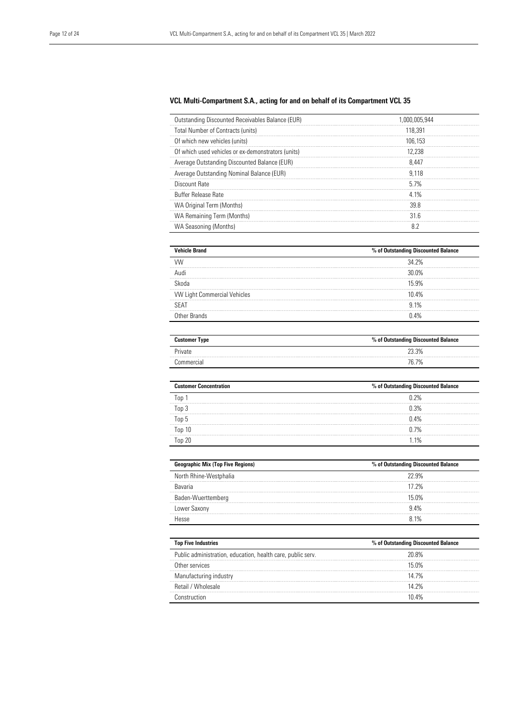#### VCL Multi-Compartment S.A., acting for and on behalf of its Compartment VCL 35

| Outstanding Discounted Receivables Balance (EUR)   | 1.000.005.944 |
|----------------------------------------------------|---------------|
| Total Number of Contracts (units)                  | 118.391       |
| Of which new vehicles (units)                      | 106.153       |
| Of which used vehicles or ex-demonstrators (units) | 12.238        |
| Average Outstanding Discounted Balance (EUR)       | 8.447         |
| Average Outstanding Nominal Balance (EUR)          | 9.118         |
| Discount Rate                                      | 57%           |
| <b>Buffer Release Rate</b>                         | 4 1%          |
| WA Original Term (Months)                          | 39.8          |
| WA Remaining Term (Months)                         | 31.6          |
| WA Seasoning (Months)                              | 82            |

| <b>Vehicle Brand</b>                | % of Outstanding Discounted Balance |
|-------------------------------------|-------------------------------------|
|                                     | 34 2%                               |
|                                     | 30.0%                               |
| Skoda                               | 15.9%                               |
| <b>VW Light Commercial Vehicles</b> | 10.4%                               |
| SFAT                                | 91%                                 |
| Other Brands                        | ገ 4%                                |

| <b>Customer Type</b> | % of Outstanding Discounted Balance |
|----------------------|-------------------------------------|
| Private              | 23.3%                               |
| Commercial           | 76.7%                               |

| <b>Customer Concentration</b> | % of Outstanding Discounted Balance |
|-------------------------------|-------------------------------------|
| $\sqrt{100}$                  | 0.2%                                |
| Top 3                         | 0.3%                                |
| Top 5                         | 0.4%                                |
| Top <sub>10</sub>             | 0.7%                                |
| $\infty$ 20                   | 1%                                  |

| <b>Geographic Mix (Top Five Regions)</b> | % of Outstanding Discounted Balance |
|------------------------------------------|-------------------------------------|
| North Rhine-Westphalia                   | 22.9%                               |
| <b>Bavaria</b>                           | 17 2%                               |
| Baden-Wuerttemberg                       | 15 0%                               |
| Lower Saxony                             | 94%                                 |
| مووما                                    | ጸ 1%                                |

| <b>Top Five Industries</b>                                  | % of Outstanding Discounted Balance |
|-------------------------------------------------------------|-------------------------------------|
| Public administration, education, health care, public serv. | 20.8%                               |
| Other services                                              | 15 በ%                               |
| Manufacturing industry                                      | 14 7%                               |
| <b>Retail / Wholesale</b>                                   | 14 2%                               |
| netruction                                                  | 1በ <i>ለ%</i>                        |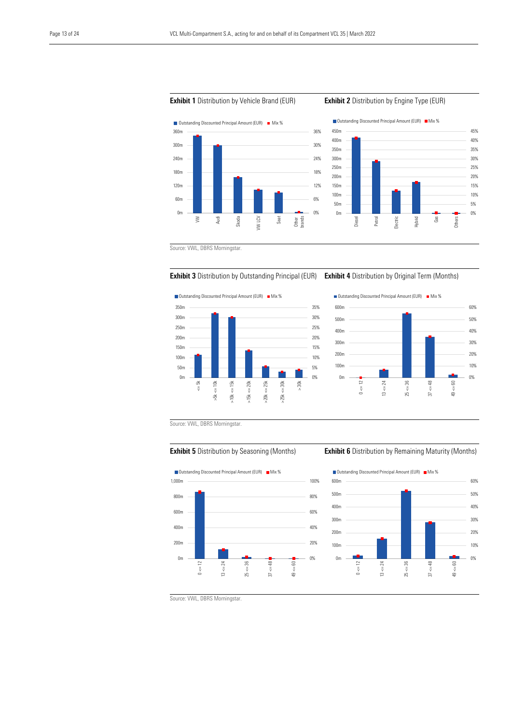

#### **Exhibit 1** Distribution by Vehicle Brand (EUR) **Exhibit 2** Distribution by Engine Type (EUR)



Source: VWL, DBRS Morningstar.



 $\Box$  Outstanding Discounted Principal Amount (EUR)  $\Box$  Mix % 350m 35% 300m 30% 250m 25%  $200<sub>m</sub>$ 20% 150m 15% 100m 10% 50m 5%  $0<sub>m</sub>$ 0%  $\leq 5k$  $\leq 10k$  $x \leq 15k$  $\epsilon = 20k$  $\epsilon$  = 25k  $\epsilon = 30k$ > 30k >5k <= 10k >10k <= 15k >15k <= 20k >20k <= 25k >25k <= 30k  $\frac{18}{2}$  $\frac{8}{2}$  $\frac{5}{4}$  $>20k$  $>25k$ 



Source: VWL, DBRS Morningstar.



#### **Exhibit 5** Distribution by Seasoning (Months) **Exhibit 6** Distribution by Remaining Maturity (Months)



Source: VWL, DBRS Morningstar.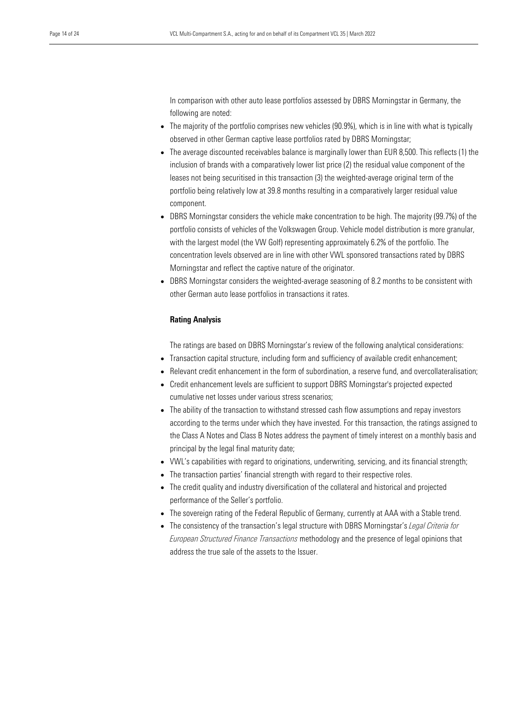In comparison with other auto lease portfolios assessed by DBRS Morningstar in Germany, the following are noted:

- The majority of the portfolio comprises new vehicles (90.9%), which is in line with what is typically observed in other German captive lease portfolios rated by DBRS Morningstar;
- The average discounted receivables balance is marginally lower than EUR 8,500. This reflects (1) the inclusion of brands with a comparatively lower list price (2) the residual value component of the leases not being securitised in this transaction (3) the weighted-average original term of the portfolio being relatively low at 39.8 months resulting in a comparatively larger residual value component.
- DBRS Morningstar considers the vehicle make concentration to be high. The majority (99.7%) of the portfolio consists of vehicles of the Volkswagen Group. Vehicle model distribution is more granular, with the largest model (the VW Golf) representing approximately 6.2% of the portfolio. The concentration levels observed are in line with other VWL sponsored transactions rated by DBRS Morningstar and reflect the captive nature of the originator.
- DBRS Morningstar considers the weighted-average seasoning of 8.2 months to be consistent with other German auto lease portfolios in transactions it rates.

#### Rating Analysis

The ratings are based on DBRS Morningstar's review of the following analytical considerations:

- Transaction capital structure, including form and sufficiency of available credit enhancement;
- Relevant credit enhancement in the form of subordination, a reserve fund, and overcollateralisation;
- Credit enhancement levels are sufficient to support DBRS Morningstar's projected expected cumulative net losses under various stress scenarios;
- The ability of the transaction to withstand stressed cash flow assumptions and repay investors according to the terms under which they have invested. For this transaction, the ratings assigned to the Class A Notes and Class B Notes address the payment of timely interest on a monthly basis and principal by the legal final maturity date;
- VWL's capabilities with regard to originations, underwriting, servicing, and its financial strength;
- The transaction parties' financial strength with regard to their respective roles.
- The credit quality and industry diversification of the collateral and historical and projected performance of the Seller's portfolio.
- The sovereign rating of the Federal Republic of Germany, currently at AAA with a Stable trend.
- The consistency of the transaction's legal structure with DBRS Morningstar's *Legal Criteria for European Structured Finance Transactions* methodology and the presence of legal opinions that address the true sale of the assets to the Issuer.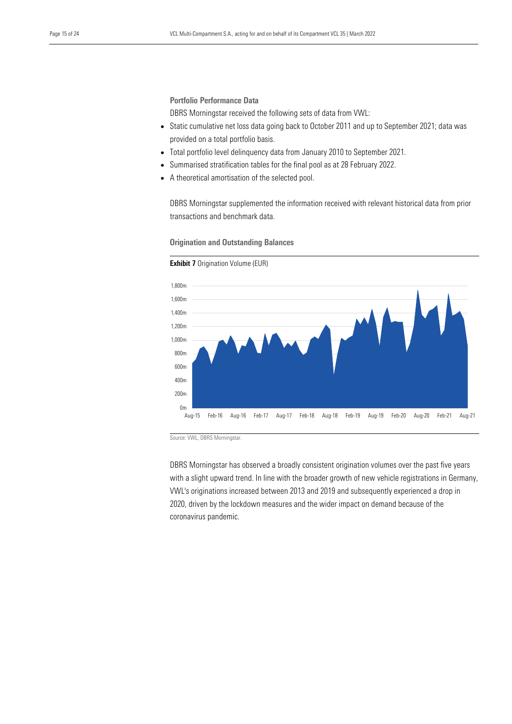Portfolio Performance Data

DBRS Morningstar received the following sets of data from VWL:

- Static cumulative net loss data going back to October 2011 and up to September 2021; data was provided on a total portfolio basis.
- Total portfolio level delinquency data from January 2010 to September 2021.
- Summarised stratification tables for the final pool as at 28 February 2022.
- A theoretical amortisation of the selected pool.

DBRS Morningstar supplemented the information received with relevant historical data from prior transactions and benchmark data.



#### Origination and Outstanding Balances

Source: VWL, DBRS Morningstar.

DBRS Morningstar has observed a broadly consistent origination volumes over the past five years with a slight upward trend. In line with the broader growth of new vehicle registrations in Germany, VWL's originations increased between 2013 and 2019 and subsequently experienced a drop in 2020, driven by the lockdown measures and the wider impact on demand because of the coronavirus pandemic.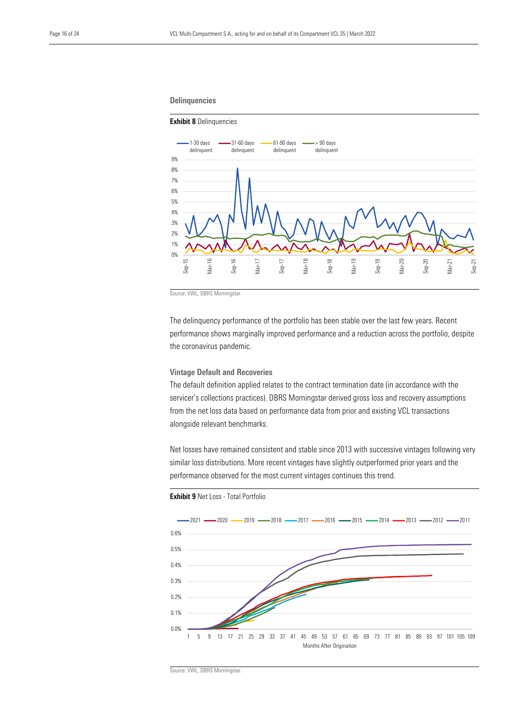#### **Delinquencies**

#### Exhibit 8 Delinquencies



Source: VWL, DBRS Morningstar.

The delinquency performance of the portfolio has been stable over the last few years. Recent performance shows marginally improved performance and a reduction across the portfolio, despite the coronavirus pandemic.

#### Vintage Default and Recoveries

The default definition applied relates to the contract termination date (in accordance with the servicer's collections practices). DBRS Morningstar derived gross loss and recovery assumptions from the net loss data based on performance data from prior and existing VCL transactions alongside relevant benchmarks.

Net losses have remained consistent and stable since 2013 with successive vintages following very similar loss distributions. More recent vintages have slightly outperformed prior years and the performance observed for the most current vintages continues this trend.



Exhibit 9 Net Loss - Total Portfolio

Source: VWL, DBRS Morningstar.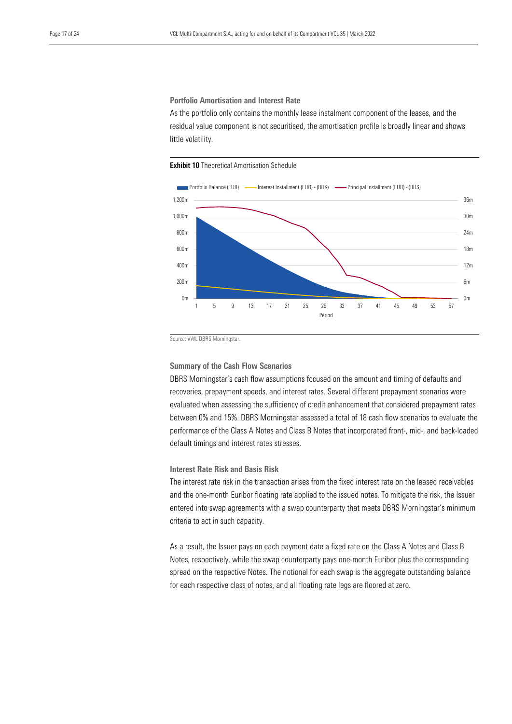Portfolio Amortisation and Interest Rate

As the portfolio only contains the monthly lease instalment component of the leases, and the residual value component is not securitised, the amortisation profile is broadly linear and shows little volatility.

**Exhibit 10 Theoretical Amortisation Schedule** 



Source: VWL DBRS Morningstar.

#### Summary of the Cash Flow Scenarios

DBRS Morningstar's cash flow assumptions focused on the amount and timing of defaults and recoveries, prepayment speeds, and interest rates. Several different prepayment scenarios were evaluated when assessing the sufficiency of credit enhancement that considered prepayment rates between 0% and 15%. DBRS Morningstar assessed a total of 18 cash flow scenarios to evaluate the performance of the Class A Notes and Class B Notes that incorporated front-, mid-, and back-loaded default timings and interest rates stresses.

Interest Rate Risk and Basis Risk

The interest rate risk in the transaction arises from the fixed interest rate on the leased receivables and the one-month Euribor floating rate applied to the issued notes. To mitigate the risk, the Issuer entered into swap agreements with a swap counterparty that meets DBRS Morningstar's minimum criteria to act in such capacity.

As a result, the Issuer pays on each payment date a fixed rate on the Class A Notes and Class B Notes, respectively, while the swap counterparty pays one-month Euribor plus the corresponding spread on the respective Notes. The notional for each swap is the aggregate outstanding balance for each respective class of notes, and all floating rate legs are floored at zero.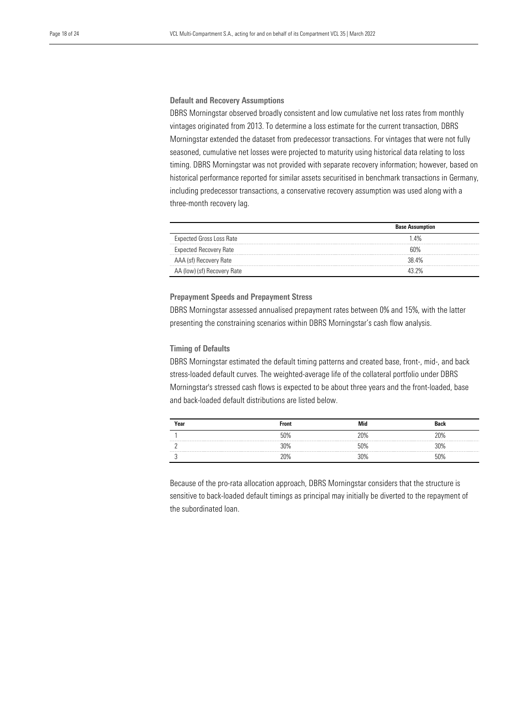#### Default and Recovery Assumptions

DBRS Morningstar observed broadly consistent and low cumulative net loss rates from monthly vintages originated from 2013. To determine a loss estimate for the current transaction, DBRS Morningstar extended the dataset from predecessor transactions. For vintages that were not fully seasoned, cumulative net losses were projected to maturity using historical data relating to loss timing. DBRS Morningstar was not provided with separate recovery information; however, based on historical performance reported for similar assets securitised in benchmark transactions in Germany, including predecessor transactions, a conservative recovery assumption was used along with a three-month recovery lag.

|                                 | <b>Base Assumption</b> |  |
|---------------------------------|------------------------|--|
| <b>Expected Gross Loss Rate</b> | 1.4%                   |  |
| <b>Expected Recovery Rate</b>   | 6በ%                    |  |
| AAA (sf) Recovery Rate          | 38.4%                  |  |
| AA (low) (sf) Recovery Rate     | 43 2%                  |  |
|                                 |                        |  |

#### Prepayment Speeds and Prepayment Stress

DBRS Morningstar assessed annualised prepayment rates between 0% and 15%, with the latter presenting the constraining scenarios within DBRS Morningstar's cash flow analysis.

#### Timing of Defaults

DBRS Morningstar estimated the default timing patterns and created base, front-, mid-, and back stress-loaded default curves. The weighted-average life of the collateral portfolio under DBRS Morningstar's stressed cash flows is expected to be about three years and the front-loaded, base and back-loaded default distributions are listed below.

| Year | <b>Front</b> | Mid | Back |
|------|--------------|-----|------|
|      | 50%          | 20% | ንበ%  |
|      | 30%          | 50% | ነበ%  |
|      | ንበ%          | ነበ% | በ%   |

Because of the pro-rata allocation approach, DBRS Morningstar considers that the structure is sensitive to back-loaded default timings as principal may initially be diverted to the repayment of the subordinated loan.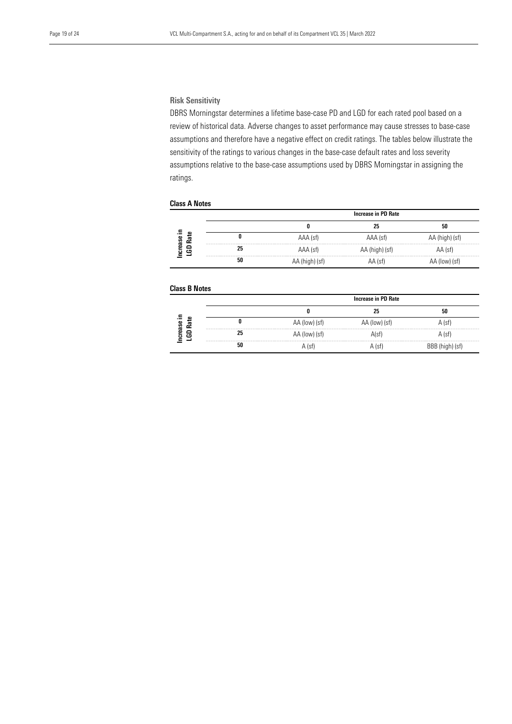#### Risk Sensitivity

DBRS Morningstar determines a lifetime base-case PD and LGD for each rated pool based on a review of historical data. Adverse changes to asset performance may cause stresses to base-case assumptions and therefore have a negative effect on credit ratings. The tables below illustrate the sensitivity of the ratings to various changes in the base-case default rates and loss severity assumptions relative to the base-case assumptions used by DBRS Morningstar in assigning the ratings.

#### Class A Notes

|                |                                                                                                                         | Increase in PD Rate |                |                |
|----------------|-------------------------------------------------------------------------------------------------------------------------|---------------------|----------------|----------------|
|                |                                                                                                                         |                     | 25             | 50             |
| œ<br>졅<br>ease |                                                                                                                         | AAA (sf)            | AAA (sf)       | AA (high) (sf) |
| ≏<br>등<br>ு    | state was seen and seen and seen the season and see the season and see the season and see<br>25<br><b>Service State</b> | AAA (sf)            | AA (high) (sf) | AA (sf)        |
|                | 50                                                                                                                      | AA (high) (st)      | AA (sf)        | (low) (st)     |

#### Class B Notes

|                                                |                                                      | Increase in PD Rate |               |          |
|------------------------------------------------|------------------------------------------------------|---------------------|---------------|----------|
|                                                |                                                      |                     |               | 50       |
| œ<br>$\sim$<br>rease<br>æ                      |                                                      | AA (low) (sf)       | AA (low) (sf) | A (sf)   |
| ≏<br>$\overline{c}$                            | were send your prop and your count of the send<br>25 | AA (low) (sf)       | A(sf)         | A (sf)   |
| <b>STATE GALLER STATE GALLER STATE GALLERY</b> | 50                                                   | $\left( 181\right)$ | A (st)        | .1) (ST' |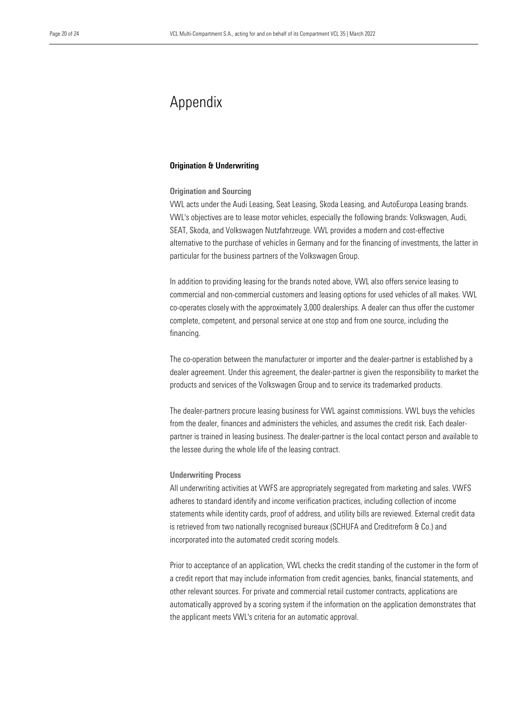## Appendix

#### Origination & Underwriting

#### Origination and Sourcing

VWL acts under the Audi Leasing, Seat Leasing, Skoda Leasing, and AutoEuropa Leasing brands. VWL's objectives are to lease motor vehicles, especially the following brands: Volkswagen, Audi, SEAT, Skoda, and Volkswagen Nutzfahrzeuge. VWL provides a modern and cost-effective alternative to the purchase of vehicles in Germany and for the financing of investments, the latter in particular for the business partners of the Volkswagen Group.

In addition to providing leasing for the brands noted above, VWL also offers service leasing to commercial and non-commercial customers and leasing options for used vehicles of all makes. VWL co-operates closely with the approximately 3,000 dealerships. A dealer can thus offer the customer complete, competent, and personal service at one stop and from one source, including the financing.

The co-operation between the manufacturer or importer and the dealer-partner is established by a dealer agreement. Under this agreement, the dealer-partner is given the responsibility to market the products and services of the Volkswagen Group and to service its trademarked products.

The dealer-partners procure leasing business for VWL against commissions. VWL buys the vehicles from the dealer, finances and administers the vehicles, and assumes the credit risk. Each dealerpartner is trained in leasing business. The dealer-partner is the local contact person and available to the lessee during the whole life of the leasing contract.

#### Underwriting Process

All underwriting activities at VWFS are appropriately segregated from marketing and sales. VWFS adheres to standard identify and income verification practices, including collection of income statements while identity cards, proof of address, and utility bills are reviewed. External credit data is retrieved from two nationally recognised bureaux (SCHUFA and Creditreform & Co.) and incorporated into the automated credit scoring models.

Prior to acceptance of an application, VWL checks the credit standing of the customer in the form of a credit report that may include information from credit agencies, banks, financial statements, and other relevant sources. For private and commercial retail customer contracts, applications are automatically approved by a scoring system if the information on the application demonstrates that the applicant meets VWL's criteria for an automatic approval.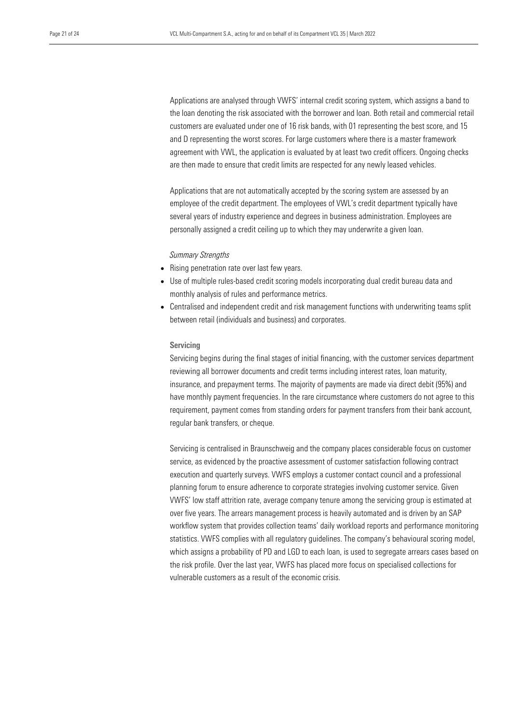Applications are analysed through VWFS' internal credit scoring system, which assigns a band to the loan denoting the risk associated with the borrower and loan. Both retail and commercial retail customers are evaluated under one of 16 risk bands, with 01 representing the best score, and 15 and D representing the worst scores. For large customers where there is a master framework agreement with VWL, the application is evaluated by at least two credit officers. Ongoing checks are then made to ensure that credit limits are respected for any newly leased vehicles.

Applications that are not automatically accepted by the scoring system are assessed by an employee of the credit department. The employees of VWL's credit department typically have several years of industry experience and degrees in business administration. Employees are personally assigned a credit ceiling up to which they may underwrite a given loan.

*Summary Strengths*

- Rising penetration rate over last few years.
- Use of multiple rules-based credit scoring models incorporating dual credit bureau data and monthly analysis of rules and performance metrics.
- Centralised and independent credit and risk management functions with underwriting teams split between retail (individuals and business) and corporates.

#### Servicing

Servicing begins during the final stages of initial financing, with the customer services department reviewing all borrower documents and credit terms including interest rates, loan maturity, insurance, and prepayment terms. The majority of payments are made via direct debit (95%) and have monthly payment frequencies. In the rare circumstance where customers do not agree to this requirement, payment comes from standing orders for payment transfers from their bank account, regular bank transfers, or cheque.

Servicing is centralised in Braunschweig and the company places considerable focus on customer service, as evidenced by the proactive assessment of customer satisfaction following contract execution and quarterly surveys. VWFS employs a customer contact council and a professional planning forum to ensure adherence to corporate strategies involving customer service. Given VWFS' low staff attrition rate, average company tenure among the servicing group is estimated at over five years. The arrears management process is heavily automated and is driven by an SAP workflow system that provides collection teams' daily workload reports and performance monitoring statistics. VWFS complies with all regulatory guidelines. The company's behavioural scoring model, which assigns a probability of PD and LGD to each loan, is used to segregate arrears cases based on the risk profile. Over the last year, VWFS has placed more focus on specialised collections for vulnerable customers as a result of the economic crisis.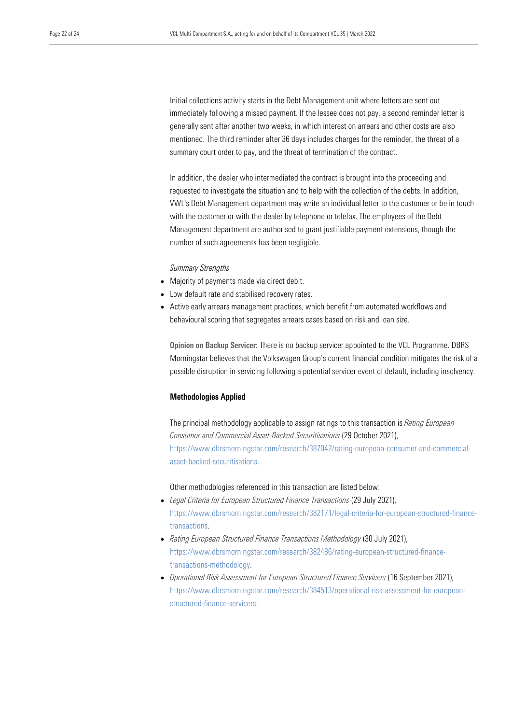Initial collections activity starts in the Debt Management unit where letters are sent out immediately following a missed payment. If the lessee does not pay, a second reminder letter is generally sent after another two weeks, in which interest on arrears and other costs are also mentioned. The third reminder after 36 days includes charges for the reminder, the threat of a summary court order to pay, and the threat of termination of the contract.

In addition, the dealer who intermediated the contract is brought into the proceeding and requested to investigate the situation and to help with the collection of the debts. In addition, VWL's Debt Management department may write an individual letter to the customer or be in touch with the customer or with the dealer by telephone or telefax. The employees of the Debt Management department are authorised to grant justifiable payment extensions, though the number of such agreements has been negligible.

#### *Summary Strengths*

- Majority of payments made via direct debit.
- Low default rate and stabilised recovery rates.
- Active early arrears management practices, which benefit from automated workflows and behavioural scoring that segregates arrears cases based on risk and loan size.

Opinion on Backup Servicer: There is no backup servicer appointed to the VCL Programme. DBRS Morningstar believes that the Volkswagen Group's current financial condition mitigates the risk of a possible disruption in servicing following a potential servicer event of default, including insolvency.

#### Methodologies Applied

The principal methodology applicable to assign ratings to this transaction is *Rating European Consumer and Commercial Asset-Backed Securitisations* (29 October 2021), [https://www.dbrsmorningstar.com/research/387042/rating-european-consumer-and-commercial](https://www.dbrsmorningstar.com/research/387042/rating-european-consumer-and-commercial-asset-backed-securitisations)[asset-backed-securitisations.](https://www.dbrsmorningstar.com/research/387042/rating-european-consumer-and-commercial-asset-backed-securitisations)

Other methodologies referenced in this transaction are listed below:

- *Legal Criteria for European Structured Finance Transactions* (29 July 2021), [https://www.dbrsmorningstar.com/research/382171/legal-criteria-for-european-structured-finance](https://www.dbrsmorningstar.com/research/382171/legal-criteria-for-european-structured-finance-transactions)[transactions.](https://www.dbrsmorningstar.com/research/382171/legal-criteria-for-european-structured-finance-transactions)
- *Rating European Structured Finance Transactions Methodology* (30 July 2021), [https://www.dbrsmorningstar.com/research/382486/rating-european-structured-finance](https://www.dbrsmorningstar.com/research/382486/rating-european-structured-finance-transactions-methodology)[transactions-methodology.](https://www.dbrsmorningstar.com/research/382486/rating-european-structured-finance-transactions-methodology)
- *Operational Risk Assessment for European Structured Finance Servicers* (16 September 2021), [https://www.dbrsmorningstar.com/research/384513/operational-risk-assessment-for-european](https://www.dbrsmorningstar.com/research/384513/operational-risk-assessment-for-european-structured-finance-servicers)[structured-finance-servicers.](https://www.dbrsmorningstar.com/research/384513/operational-risk-assessment-for-european-structured-finance-servicers)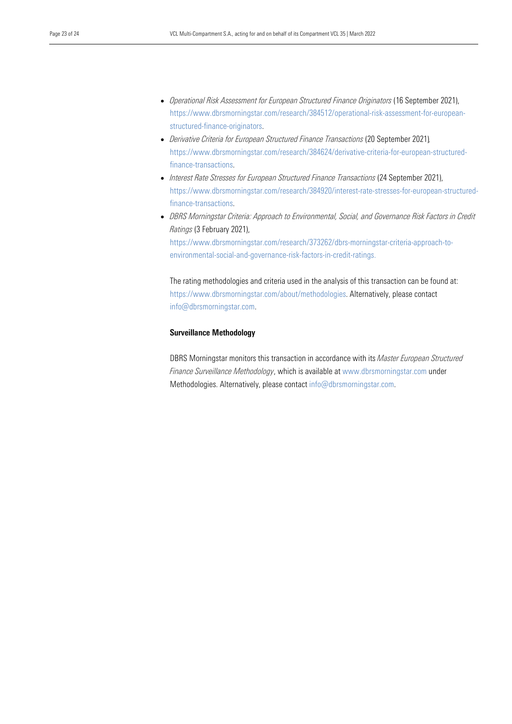- *Operational Risk Assessment for European Structured Finance Originators* (16 September 2021), [https://www.dbrsmorningstar.com/research/384512/operational-risk-assessment-for-european](https://www.dbrsmorningstar.com/research/384512/operational-risk-assessment-for-european-structured-finance-originators)[structured-finance-originators.](https://www.dbrsmorningstar.com/research/384512/operational-risk-assessment-for-european-structured-finance-originators)
- *Derivative Criteria for European Structured Finance Transactions* (20 September 2021)*,*  [https://www.dbrsmorningstar.com/research/384624/derivative-criteria-for-european-structured](https://www.dbrsmorningstar.com/research/384624/derivative-criteria-for-european-structured-finance-transactions)[finance-transactions.](https://www.dbrsmorningstar.com/research/384624/derivative-criteria-for-european-structured-finance-transactions)
- *Interest Rate Stresses for European Structured Finance Transactions* (24 September 2021), [https://www.dbrsmorningstar.com/research/384920/interest-rate-stresses-for-european-structured](https://www.dbrsmorningstar.com/research/384920/interest-rate-stresses-for-european-structured-finance-transactions)[finance-transactions.](https://www.dbrsmorningstar.com/research/384920/interest-rate-stresses-for-european-structured-finance-transactions)
- *DBRS Morningstar Criteria: Approach to Environmental, Social, and Governance Risk Factors in Credit Ratings* (3 February 2021),

[https://www.dbrsmorningstar.com/research/373262/dbrs-morningstar-criteria-approach-to](https://www.dbrsmorningstar.com/research/373262/dbrs-morningstar-criteria-approach-to-environmental-social-and-governance-risk-factors-in-credit-ratings)[environmental-social-and-governance-risk-factors-in-credit-ratings.](https://www.dbrsmorningstar.com/research/373262/dbrs-morningstar-criteria-approach-to-environmental-social-and-governance-risk-factors-in-credit-ratings)

The rating methodologies and criteria used in the analysis of this transaction can be found at: https://www.dbrsmorningstar.com/about/methodologies. Alternatively, please contact info@dbrsmorningstar.com.

#### Surveillance Methodology

DBRS Morningstar monitors this transaction in accordance with its *Master European Structured Finance Surveillance Methodology*, which is available at www.dbrsmorningstar.com under Methodologies. Alternatively, please contact [info@dbrsmorningstar.com.](mailto:info@dbrsmorningstar.com)